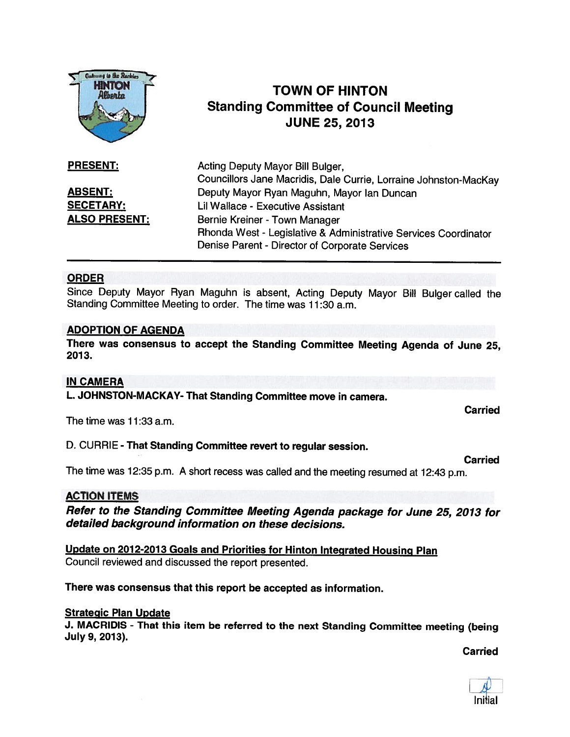

# TOWN OF HINTON Standing Committee of Council Meeting JUNE 25, 2013

| <b>PRESENT:</b>      | Acting Deputy Mayor Bill Bulger,                                 |
|----------------------|------------------------------------------------------------------|
|                      | Councillors Jane Macridis, Dale Currie, Lorraine Johnston-MacKay |
| <b>ABSENT:</b>       | Deputy Mayor Ryan Maguhn, Mayor Ian Duncan                       |
| <b>SECETARY:</b>     | Lil Wallace - Executive Assistant                                |
| <b>ALSO PRESENT:</b> | Bernie Kreiner - Town Manager                                    |
|                      | Rhonda West - Legislative & Administrative Services Coordinator  |
|                      | Denise Parent - Director of Corporate Services                   |

# ORDER

Since Deputy Mayor Ryan Maguhn is absent, Acting Deputy Mayor Bill Bulger called the Standing Committee Meeting to order. The time was 11:30 a.m.

# ADOPTION OF AGENDA

There was consensus to accept the Standing Committee Meeting Agenda of June 25, 2013.

# IN CAMERA

L. JOHNSTON-MACKAY- That Standing Committee move in camera.

The time was 11:33 a.m.

# D. CURRIE - That Standing Committee revert to regular session.

Carried

Carried

The time was 12:35 p.m. <sup>A</sup> short recess was called and the meeting resumed at 12:43 p.m.

# ACTION ITEMS

Refer to the Standing Committee Meeting Agenda package for June 25, <sup>2013</sup> for detailed background information on these decisions.

Update on 2012-2013 Goals and Priorities for Hinton Integrated Housing Plan Council reviewed and discussed the repor<sup>t</sup> presented.

There was consensus that this repor<sup>t</sup> be accepted as information.

#### Strategic Plan Update

J. MACRIDIS - That this item be referred to the next Standing Committee meeting (being July 9, 2013).

Carried